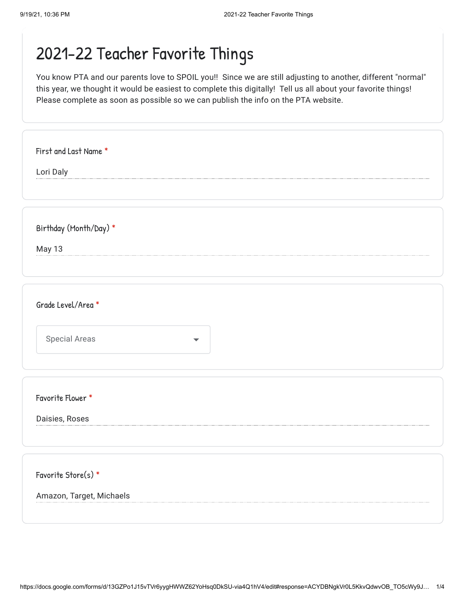You know PTA and our parents love to SPOIL you!! Since we are still adjusting to another, different "normal" this year, we thought it would be easiest to complete this digitally! Tell us all about your favorite things! Please complete as soon as possible so we can publish the info on the PTA website.

| First and Last Name *                        |  |
|----------------------------------------------|--|
| Lori Daly                                    |  |
|                                              |  |
|                                              |  |
| Birthday (Month/Day) *                       |  |
| May 13                                       |  |
|                                              |  |
|                                              |  |
|                                              |  |
| Grade Level/Area *                           |  |
|                                              |  |
| <b>Special Areas</b><br>$\blacktriangledown$ |  |
|                                              |  |
|                                              |  |
|                                              |  |
| Favorite Flower *                            |  |
|                                              |  |
| Daisies, Roses                               |  |
|                                              |  |
|                                              |  |
| Favorite Store(s) *                          |  |
|                                              |  |
| Amazon, Target, Michaels                     |  |
|                                              |  |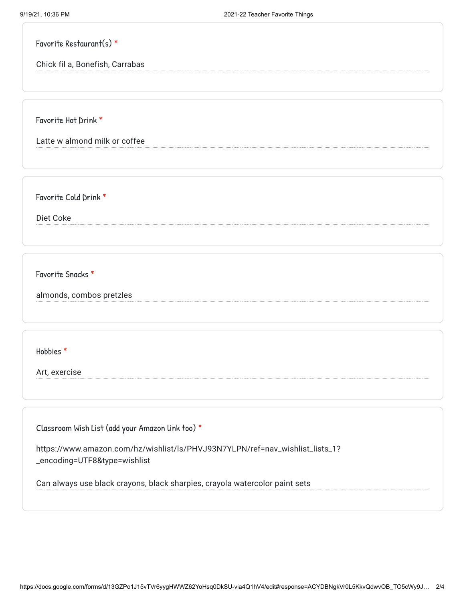Favorite Restaurant(s) \*

Chick fil a, Bonefish, Carrabas

Favorite Hot Drink \*

Latte w almond milk or coffee

Favorite Cold Drink \*

Diet Coke

Favorite Snacks \*

almonds, combos pretzles

Hobbies \*

Art, exercise

Classroom Wish List (add your Amazon link too) \*

https://www.amazon.com/hz/wishlist/ls/PHVJ93N7YLPN/ref=nav\_wishlist\_lists\_1? \_encoding=UTF8&type=wishlist

Can always use black crayons, black sharpies, crayola watercolor paint sets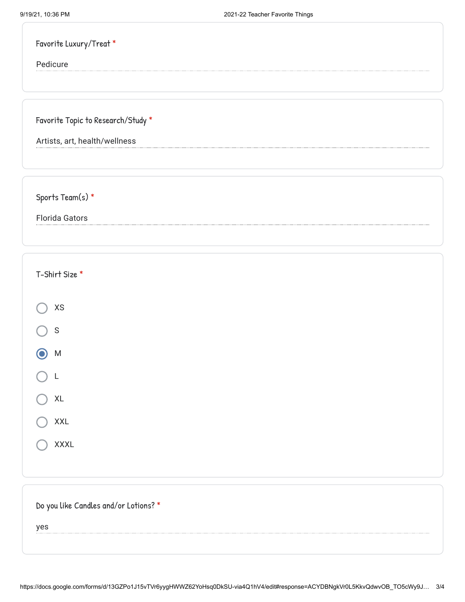| Favorite Luxury/Treat *            |  |  |
|------------------------------------|--|--|
| Pedicure                           |  |  |
|                                    |  |  |
|                                    |  |  |
|                                    |  |  |
|                                    |  |  |
| Favorite Topic to Research/Study * |  |  |

Sports Team(s) \*

Florida Gators

| T-Shirt Size *                        |  |
|---------------------------------------|--|
| $\mathsf{X}\mathsf{S}$                |  |
| $\mathsf S$                           |  |
| $\bigcirc$<br>${\sf M}$               |  |
| L                                     |  |
| $\mathsf{XL}$                         |  |
| XXL                                   |  |
| <b>XXXL</b>                           |  |
|                                       |  |
| Do you like Candles and/or Lotions? * |  |

yes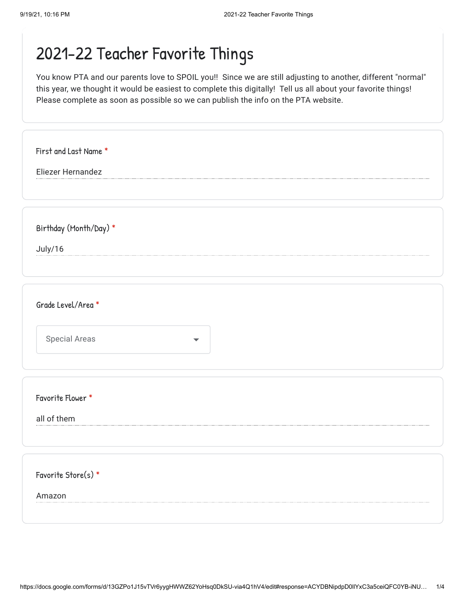You know PTA and our parents love to SPOIL you!! Since we are still adjusting to another, different "normal" this year, we thought it would be easiest to complete this digitally! Tell us all about your favorite things! Please complete as soon as possible so we can publish the info on the PTA website.

| First and Last Name *  |
|------------------------|
| Eliezer Hernandez      |
|                        |
|                        |
| Birthday (Month/Day) * |
| July/16                |
|                        |
|                        |
| Grade Level/Area *     |
|                        |
| <b>Special Areas</b>   |
|                        |
|                        |
| Favorite Flower *      |
| all of them            |
|                        |
|                        |
| Favorite Store(s) *    |
| Amazon                 |
|                        |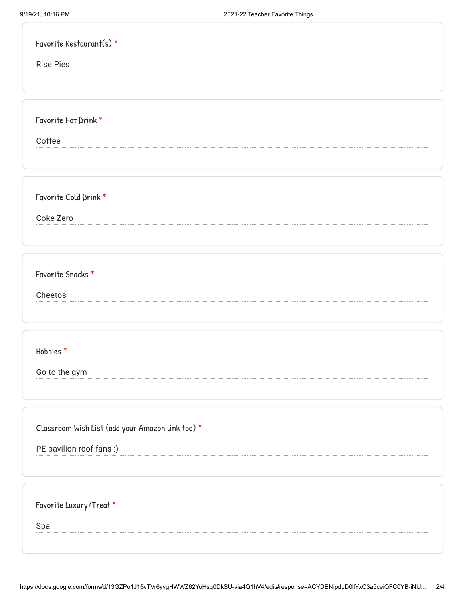| Favorite Restaurant(s) *                         |
|--------------------------------------------------|
| <b>Rise Pies</b>                                 |
|                                                  |
|                                                  |
| Favorite Hot Drink *                             |
| Coffee                                           |
|                                                  |
|                                                  |
| Favorite Cold Drink *                            |
| Coke Zero                                        |
|                                                  |
|                                                  |
| Favorite Snacks *                                |
| Cheetos                                          |
|                                                  |
|                                                  |
| Hobbies*                                         |
|                                                  |
| Go to the gym                                    |
|                                                  |
|                                                  |
| Classroom Wish List (add your Amazon link too) * |
| PE pavilion roof fans:)                          |
|                                                  |
|                                                  |
| Favorite Luxury/Treat *                          |
| Spa                                              |
|                                                  |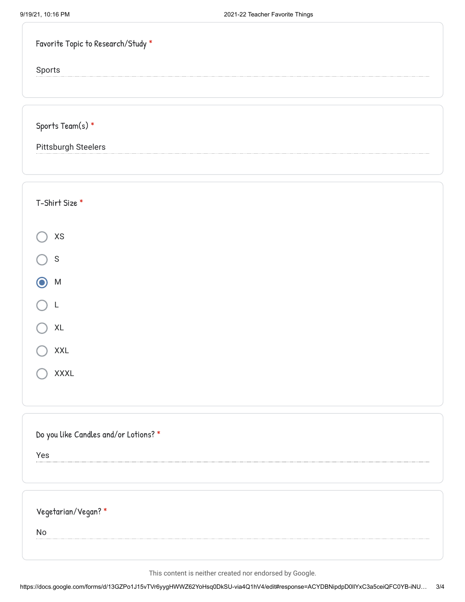| Favorite Topic to Research/Study * |
|------------------------------------|
|                                    |
|                                    |
| Sports Team(s) *                   |
| <b>Pittsburgh Steelers</b>         |

| T-Shirt Size *                               |
|----------------------------------------------|
| XS                                           |
| $\mathsf S$                                  |
| ${\sf M}$                                    |
| L                                            |
| XL                                           |
| <b>XXL</b>                                   |
| XXXL                                         |
|                                              |
| Do you like Candles and/or Lotions? *<br>Yes |
|                                              |
| Vegetarian/Vegan?*                           |
| No                                           |
|                                              |

This content is neither created nor endorsed by Google.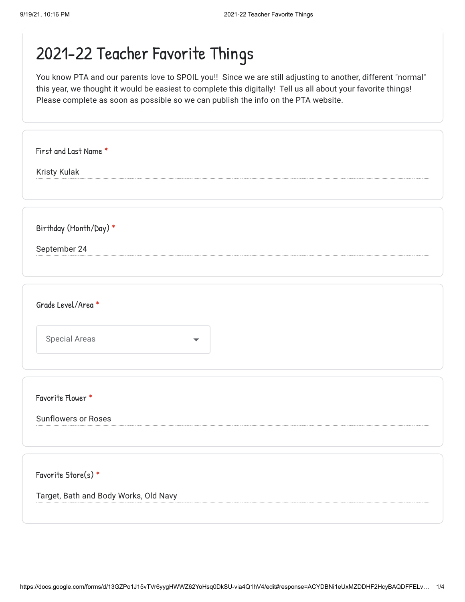You know PTA and our parents love to SPOIL you!! Since we are still adjusting to another, different "normal" this year, we thought it would be easiest to complete this digitally! Tell us all about your favorite things! Please complete as soon as possible so we can publish the info on the PTA website.

| <b>Kristy Kulak</b>    |                      |  |  |
|------------------------|----------------------|--|--|
|                        |                      |  |  |
|                        |                      |  |  |
| Birthday (Month/Day) * |                      |  |  |
| September 24           |                      |  |  |
|                        |                      |  |  |
|                        |                      |  |  |
| Grade Level/Area *     |                      |  |  |
|                        |                      |  |  |
| <b>Special Areas</b>   | $\blacktriangledown$ |  |  |
|                        |                      |  |  |

Sunflowers or Roses

Favorite Store(s) \*

Target, Bath and Body Works, Old Navy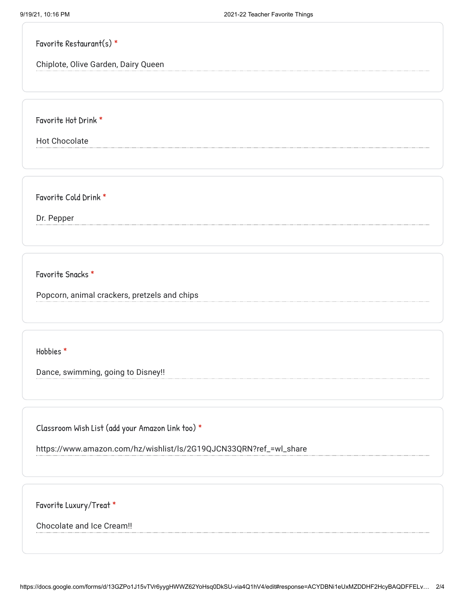|  | Favorite Restaurant(s) $*$ |  |
|--|----------------------------|--|
|--|----------------------------|--|

Chiplote, Olive Garden, Dairy Queen

Favorite Hot Drink \*

Hot Chocolate

Favorite Cold Drink \*

Dr. Pepper

Favorite Snacks \*

Popcorn, animal crackers, pretzels and chips

Hobbies \*

Dance, swimming, going to Disney!!

Classroom Wish List (add your Amazon link too) \*

https://www.amazon.com/hz/wishlist/ls/2G19QJCN33QRN?ref\_=wl\_share

Favorite Luxury/Treat \*

Chocolate and Ice Cream!!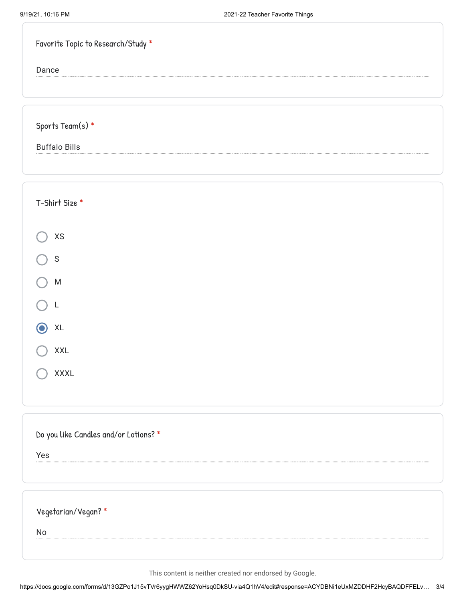| Favorite Topic to Research/Study * |  |
|------------------------------------|--|
| Dance                              |  |
|                                    |  |
|                                    |  |
| Sports Team(s) $*$                 |  |
| <b>Buffalo Bills</b>               |  |
|                                    |  |
|                                    |  |
| T-Shirt Size *                     |  |
|                                    |  |
| $\mathsf{X}\mathsf{S}$             |  |
| ${\mathsf S}$                      |  |
| ${\sf M}$                          |  |
|                                    |  |
| XL                                 |  |

| XXL         |
|-------------|
| <b>XXXL</b> |

|  |  |  |  | Do you like Candles and/or Lotions? * |  |
|--|--|--|--|---------------------------------------|--|
|--|--|--|--|---------------------------------------|--|

Yes

No

This content is neither created nor endorsed by Google.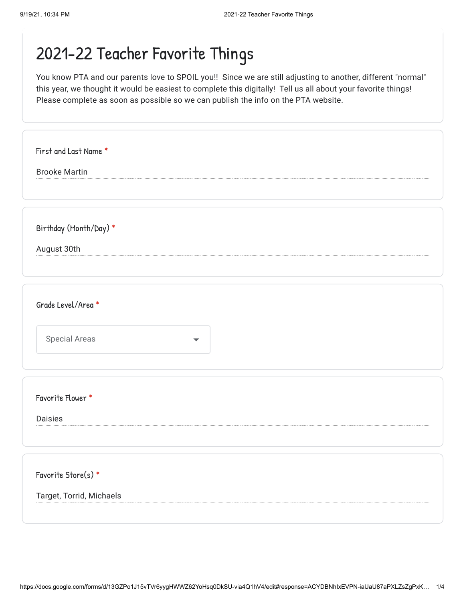You know PTA and our parents love to SPOIL you!! Since we are still adjusting to another, different "normal" this year, we thought it would be easiest to complete this digitally! Tell us all about your favorite things! Please complete as soon as possible so we can publish the info on the PTA website.

| First and Last Name *<br><b>Brooke Martin</b> |
|-----------------------------------------------|
|                                               |
| Birthday (Month/Day) *                        |
| August 30th                                   |
| Grade Level/Area *                            |
| Special Areas                                 |
|                                               |
| Favorite Flower *                             |
| <b>Daisies</b>                                |
| Favorite Store(s) *                           |
| Target, Torrid, Michaels                      |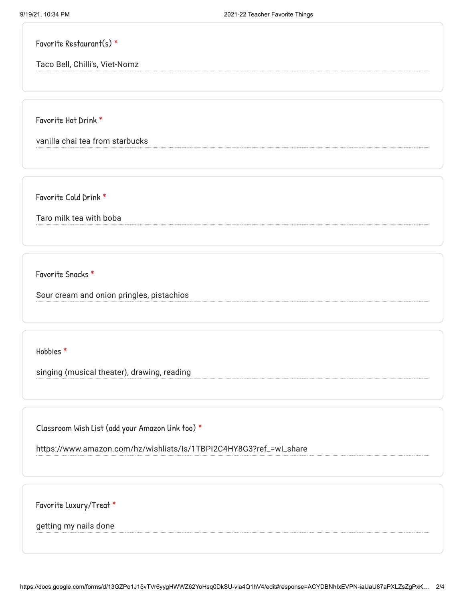Favorite Restaurant(s) \*

Taco Bell, Chilli's, Viet-Nomz

Favorite Hot Drink \*

vanilla chai tea from starbucks

Favorite Cold Drink \*

Taro milk tea with boba

Favorite Snacks \*

Sour cream and onion pringles, pistachios

Hobbies \*

singing (musical theater), drawing, reading

Classroom Wish List (add your Amazon link too) \*

https://www.amazon.com/hz/wishlists/Is/1TBPI2C4HY8G3?ref\_=wI\_share

Favorite Luxury/Treat \*

getting my nails done